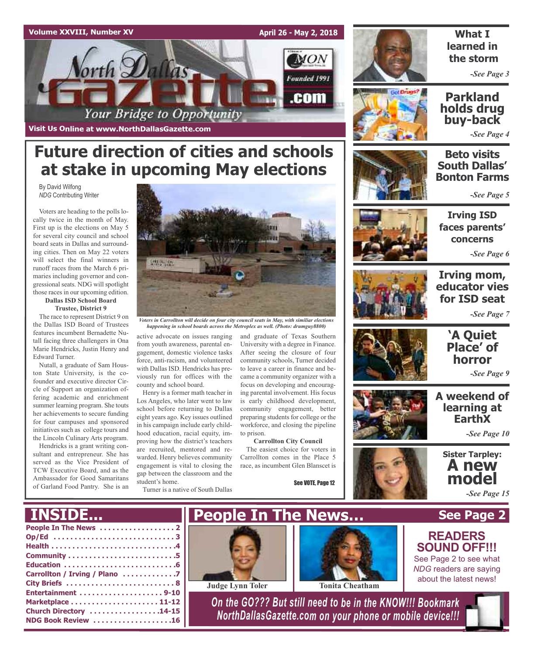

**Future direction of cities and schools**



### **What I learned in the storm**

*-See Page 3*

**Parkland holds drug buy-back**

*-See Page 4*

### **Beto visits South Dallas' Bonton Farms**

*-See Page 5*

**Irving ISD faces parents' concerns**

*-See Page 6*



**Irving mom, educator vies for ISD seat**

*-See Page 7*



### **'A Quiet Place' of horror** *-See Page 9*

**A weekend of learning at EarthX**

*-See Page 10*

**Sister Tarpley: A new model** *-See Page 15*

**See Page 2**

## By David Wilfong *NDG* Contributing Writer Voters are heading to the polls lo**at stake in upcoming May elections**

cally twice in the month of May. First up is the elections on May 5 for several city council and school board seats in Dallas and surrounding cities. Then on May 22 voters will select the final winners in runoff races from the March 6 primaries including governor and congressional seats. NDG will spotlight those races in our upcoming edition.

#### **Dallas ISD School Board Trustee, District 9**

The race to represent District 9 on the Dallas ISD Board of Trustees features incumbent Bernadette Nutall facing three challengers in Ona Marie Hendricks, Justin Henry and Edward Turner.

Nutall, a graduate of Sam Houston State University, is the cofounder and executive director Circle of Support an organization offering academic and enrichment summer learning program. She touts her achievements to secure funding for four campuses and sponsored initiatives such as college tours and the Lincoln Culinary Arts program.

Hendricks is a grant writing consultant and entrepreneur. She has served as the Vice President of TCW Executive Board, and as the Ambassador for Good Samaritans of Garland Food Pantry. She is an



*Voters in Carrollton will decide on four city council seats in May, with similiar elections happening in school boards across the Metroplex as well. (Photo: drumguy8800)*

active advocate on issues ranging from youth awareness, parental engagement, domestic violence tasks force, anti-racism, and volunteered with Dallas ISD. Hendricks has previously run for offices with the county and school board.

Henry is a former math teacher in Los Angeles, who later went to law school before returning to Dallas eight years ago. Key issues outlined in his campaign include early childhood education, racial equity, improving how the district's teachers are recruited, mentored and rewarded. Henry believes community engagement is vital to closing the gap between the classroom and the student's home.

Turner is a native of South Dallas

and graduate of Texas Southern University with a degree in Finance. After seeing the closure of four community schools, Turner decided to leave a career in finance and became a community organizer with a focus on developing and encouraging parental involvement. His focus is early childhood development, community engagement, better preparing students for college or the workforce, and closing the pipeline to prison.

**Carrollton City Council**

The easiest choice for voters in Carrollton comes in the Place 5 race, as incumbent Glen Blanscet is

See VOTE, Page 12





*On the GO??? But still need to be in the KNOW!!! Bookmark NorthDallasGazette.com on your phone or mobile device!!!*



**INSIDE...**

| Carrollton / Irving / Plano 7 |  |
|-------------------------------|--|
|                               |  |
|                               |  |
|                               |  |
| Church Directory 14-15        |  |
| NDG Book Review 16            |  |

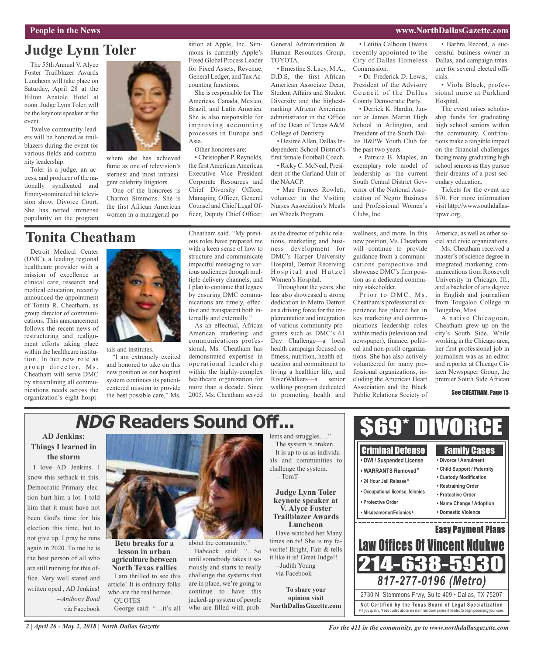# **Judge Lynn Toler**

The 55th Annual V. Alyce Foster Trailblazer Awards Luncheon will take place on Saturday, April 28 at the Hilton Anatole Hotel at noon.Judge Lynn Toler, will be the keynote speaker at the event.

Twelve community leaders will be honored as trailblazers during the event for various fields and community leadership.

Toler is a judge, an actress, and producer of the nationally syndicated and Emmy-nominated hit television show, Divorce Court. She has netted immense popularity on the program



where she has achieved fame as one of television's sternest and most intransigent celebrity litigators.

One of the honorees is Charron Simmons. She is the first African American women in a managerial po-

#### sition at Apple, Inc. Simmons is currently Apple's Fixed Global Process Leader for Fixed Assets, Revenue, General Ledger, and Tax Accounting functions.

She is responsible for The Americas, Canada, Mexico, Brazil, and Latin America. She is also responsible for improving accounting processes in Europe and Asia.

Other honorees are:

• Christopher P. Reynolds, the first American American Executive Vice President Corporate Resources and Chief Diversity Officer, Managing Officer, General Counsel and Chief Legal Officer, Deputy Chief Officer,

General Administration & Human Resources Group, TOYOTA.

• Ernestine S. Lacy, M.A., D.D.S, the first African American Associate Dean, Student Affairs and Student Diversity and the highestranking African American administrator in the Office of the Dean of Texas A&M College of Dentistry.

• Desiree Allen, Dallas Independent School District's first female Football Coach.

• Ricky C. McNeal, President of the Garland Unit of the NAACP.

• Mae Frances Rowlett, volunteer in the Visiting Nurses Association's Meals on Wheels Program.

• Letitia Calhoun Owens recently appointed to the City of Dallas Homeless Commission.

• Dr. Frederick D. Lewis, President of the Advisory Council of the Dallas County Democratic Party.

• Derrick K. Hardin, Junior at James Martin High School in Arlington, and President of the South Dallas B&PW Youth Club for the past two years.

• Patricia B. Maples, an exemplary role model of leadership as the current South Central District Governor of the National Association of Negro Business and Professional Women's Clubs, Inc.

• Barbra Record, a successful business owner in Dallas, and campaign treasurer for several elected officials.

• Viola Black, professional nurse at Parkland Hospital.

The event raises scholarship funds for graduating high school seniors within the community. Contributions make a tangible impact on the financial challenges facing many graduating high school seniors as they pursue their dreams of a post-secondary education.

Tickets for the event are \$70. For more information visit http://www.southdallasbpwc.org.

## **Tonita Cheatham**

Detroit Medical Center (DMC), a leading regional healthcare provider with a mission of excellence in clinical care, research and medical education, recently announced the appointment of Tonita R. Cheatham, as group director of communications. This announcement follows the recent news of restructuring and realignment efforts taking place within the healthcare institution. In her new role as group director, Ms. Cheatham will serve DMC by streamlining all communications needs across the organization's eight hospi-



tals and institutes.

"I am extremely excited and honored to take on this new position as our hospital system continues its patientcentered mission to provide the best possible care," Ms. Cheatham said. "My previous roles have prepared me with a keen sense of how to structure and communicate impactful messaging to various audiences through multiple delivery channels, and I plan to continue that legacy by ensuring DMC communications are timely, effective and transparent both internally and externally."

As an effectual, African American marketing and communications professional, Ms. Cheatham has demonstrated expertise in operational leadership within the highly-complex healthcare organization for more than a decade. Since 2005, Ms. Cheatham served

Babcock said: "…So until somebody takes it seriously and starts to really challenge the systems that are in place, we're going to continue to have this jacked-up system of people

asthe director of public relations, marketing and business development for DMC's Harper University Hospital, Detroit Receiving Hospital and Hutzel Women's Hospital.

Throughout the years, she has also showcased a strong dedication to Metro Detroit as a driving force for the implementation and integration of various community programs such as DMC's 61 Day Challenge—a local health campaign focused on fitness, nutrition, health education and commitment to living a healthier life, and RiverWalkers—a senior walking program dedicated to promoting health and wellness, and more. In this new position, Ms. Cheatham will continue to provide guidance from a communications perspective and showcase DMC's firm position as a dedicated community stakeholder.

Prior to DMC, Ms. Cheatham's professional experience has placed her in key marketing and communications leadership roles within media (television and newspaper), finance, political and non-profit organizations. She has also actively volunteered for many professional organizations, including the American Heart Association and the Black Public Relations Society of

America, as well as other social and civic organizations. Ms. Cheatham received a

master's of science degree in integrated marketing communications from Roosevelt University in Chicago, Ill., and a bachelor of arts degree in English and journalism from Tougaloo College in Tougaloo, Miss.

A native Chicagoan, Cheatham grew up on the city's South Side. While working in the Chicago area, her first professional job in journalism was as an editor and reporter at Chicago Citizen Newspaper Group, the premier South Side African

#### See CHEATHAM, Page 15

# **NDG Readers Sound Off...**

### **AD Jenkins: Things I learned in the storm**

I love AD Jenkins. I know this setback in this. Democratic Primary election hurt him a lot. I told him that it must have not been God's time for his election this time, but to not give up. I pray he runs again in 2020. To me he is the best person of all who are still running for this office. Very well stated and written oped , AD Jenkins! *--Anthony Bond* via Facebook



**Beto breaks for a lesson in urban agriculture between North Texas rallies** I am thrilled to see this article! It is ordinary folks who are the real heroes. QUOTES

George said: "…it's all who are filled with prob-

#### lems and struggles…." The system is broken. It is up to us as individuals and communities to challenge the system. -- TomT **Judge Lynn Toler**

**keynote speaker at V. Alyce Foster Trailblazer Awards Luncheon**

Have watched her Many times on tv! She is my favorite! Bright, Fair & tells it like it is! Great Judge!! --Judith Young via Facebook

**To share your opinion visit NorthDallasGazette.com**



*2 | April 26 - May 2, 2018 | North Dallas Gazette*

*For the 411 in the community, go to www.northdallasgazette.com*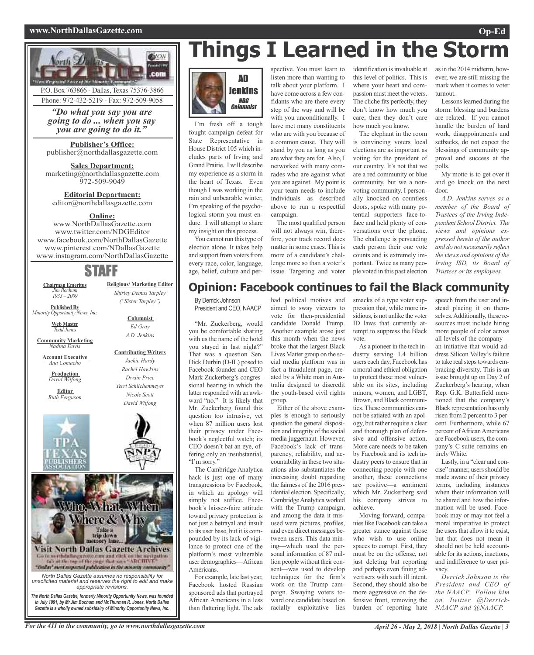#### **www.NorthDallasGazette.com Op-Ed**



P.O. Box 763866 - Dallas, Texas 75376-3866 Phone: 972-432-5219 - Fax: 972-509-9058

*"Do what you say you are going to do ... when you say you are going to do it."*

**Publisher's Office:** publisher@northdallasgazette.com

**Sales Department:** marketing@northdallasgazette.com 972-509-9049

**Editorial Department:** editor@northdallasgazette.com

#### **Online:**

www.NorthDallasGazette.com www.twitter.com/NDGEditor www.facebook.com/NorthDallasGazette www.pinterest.com/NDallasGazette www.instagram.com/NorthDallasGazette

# STAFF

**Religious/ Marketing Editor** *Shirley Demus Tarpley ("Sister Tarpley")*

> **Columnist** *Ed Gray A.D. Jenkins*

**Contributing Writers** *Jackie Hardy Rachel Hawkins Dwain Price Terri Schlichenmeyer Nicole Scott David Wilfong*

**Chairman Emeritus** *Jim Bochum 1933 – 2009*

**Published By** *Minority Opportunity News, Inc.*

> **Web Master** *Todd Jones*

**Community Marketing** *Nadina Davis*

**Account Executive** *Ana Comacho*

**Production** *David Wilfong*

**Editor** *Ruth Ferguson*





# **Things I Learned in the Storm**



I'm fresh off a tough fought campaign defeat for State Representative in House District 105 which includes parts of Irving and Grand Prairie. I will describe my experience as a storm in the heart of Texas. Even though I was working in the rain and unbearable winter, I'm speaking of the psychological storm you must endure. I will attempt to share my insight on this process.

You cannot run this type of election alone. It takes help and support from voters from every race, color, language, age, belief, culture and per-

spective. You must learn to listen more than wanting to talk about your platform. I have come across a few confidants who are there every step of the way and will be with you unconditionally. I have met many constituents who are with you because of a common cause. They will stand by you as long as you are what they are for. Also, I networked with many comrades who are against what you are against. My point is your team needs to include individuals as described above to run a respectful campaign.

The most qualified person will not always win, therefore, your track record does matter in some cases. This is more of a candidate's challenge more so than a voter's issue. Targeting and voter

identification is invaluable at this level of politics. This is where your heart and compassion must meet the voters. The cliche fits perfectly, they don't know how much you care, then they don't care how much you know.

The elephant in the room is convincing voters local elections are as important as voting for the president of our country. It's not that we are a red community or blue community, but we a nonvoting community. I personally knocked on countless doors, spoke with many potential supporters face-toface and held plenty of conversations over the phone. The challenge is persuading each person their one vote counts and is extremely important. Twice as many people voted in this past election

asin the 2014 midterm, however, we are still missing the mark when it comes to voter turnout.

Lessons learned during the storm: blessing and burdens are related. If you cannot handle the burden of hard work, disappointments and setbacks, do not expect the blessings of community approval and success at the polls.

My motto is to get over it and go knock on the next door.

*A.D. Jenkins serves as a member of the Board of Trustees of the Irving Independent School District. The views and opinions expressed herein of the author and do not necessarily reflect the views and opinions of the Irving ISD, its Board of Trustees or its employees.*

### **Opinion: Facebook continues to fail the Black community**

By Derrick Johnson President and CEO, NAACP

"Mr. Zuckerberg, would you be comfortable sharing with us the name of the hotel you stayed in last night?" That was a question Sen. Dick Durbin (D-IL) posed to Facebook founder and CEO Mark Zuckerberg's congressional hearing in which the latter responded with an awkward "no." It is likely that Mr. Zuckerberg found this question too intrusive, yet when 87 million users lost their privacy under Facebook's neglectful watch; its CEO doesn't bat an eye, offering only an insubstantial, "I'm sorry."

The Cambridge Analytica hack is just one of many transgressions by Facebook, in which an apology will simply not suffice. Facebook's laissez-faire attitude toward privacy protection is not just a betrayal and insult to its user base, but it is compounded by its lack of vigilance to protect one of the platform's most vulnerable user demographics—African Americans.

For example, late last year, Facebook hosted Russian sponsored ads that portrayed African Americans in a less than flattering light. The ads

had political motives and aimed to sway viewers to vote for then-presidential candidate Donald Trump. Another example arose just this month when the news broke that the largest Black Lives Matter group on the social media platform was in fact a fraudulent page, created by a White man in Australia designed to discredit the youth-based civil rights group. Either of the above exam-

ples is enough to seriously question the general disposition and integrity of the social media juggernaut. However, Facebook's lack of transparency, reliability, and accountability in these two situations also substantiates the increasing doubt regarding the fairness of the 2016 presidential election. Specifically, CambridgeAnalytica worked with the Trump campaign, and among the data it misused were pictures, profiles, and even direct messages between users. This data mining—which used the personal information of 87 million people without their consent—was used to develop techniques for the firm's work on the Trump campaign. Swaying voters toward one candidate based on racially exploitative lies

smacks of a type voter suppression that, while more insidious, is not unlike the voter ID laws that currently attempt to suppress the Black vote.

As a pioneer in the tech industry serving 1.4 billion users each day, Facebook has a moral and ethical obligation to protect those most vulnerable on its sites, including minors, women, and LGBT, Brown, and Black communities. These communities cannot be satiated with an apology, but rather require a clear and thorough plan of defensive and offensive action. More care needs to be taken by Facebook and its tech industry peers to ensure that in connecting people with one another, these connections are positive—a sentiment which Mr. Zuckerberg said his company strives to achieve.

Moving forward, companieslike Facebook can take a greater stance against those who wish to use online spaces to corrupt. First, they must be on the offense, not just deleting but reporting and perhaps even fining advertisers with such ill intent. Second, they should also be more aggressive on the defensive front, removing the burden of reporting hate

speech from the user and instead placing it on themselves. Additionally, these resources must include hiring more people of color across all levels of the company an initiative that would address Silicon Valley's failure to take real steps towards embracing diversity. This is an issue brought up on Day 2 of Zuckerberg's hearing, when Rep. G.K. Butterfield mentioned that the company's Black representation has only risen from 2 percent to 3 percent. Furthermore, while 67 percent of African Americans are Facebook users, the company's C-suite remains entirely White.

Lastly, in a "clear and concise" manner, users should be made aware of their privacy terms, including instances when their information will be shared and how the information will be used. Facebook may or may not feel a moral imperative to protect the users that allow it to exist, but that does not mean it should not be held accountable for its actions, inactions, and indifference to user privacy.

*Derrick Johnson is the President and CEO of the NAACP. Follow him on Twitter @Derrick-NAACP and @NAACP.*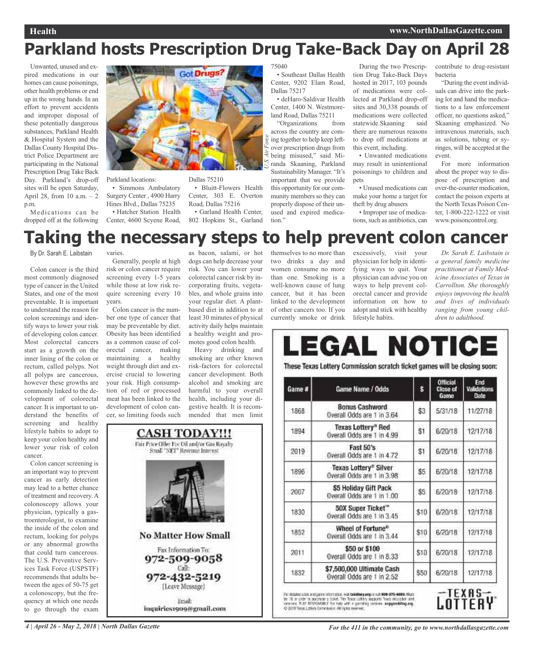bacteria

contribute to drug-resistant

"During the event individuals can drive into the park-

For more information

# **Parkland hosts Prescription Drug Take-Back Day on April 28**

Unwanted, unused and expired medications in our homes can cause poisonings, other health problems or end up in the wrong hands. In an effort to prevent accidents and improper disposal of these potentially dangerous substances, Parkland Health & Hospital System and the Dallas County Hospital District Police Department are participating in the National Prescription Drug Take Back Day. Parkland's drop-off sites will be open Saturday, April 28, from 10 a.m. – 2 p.m.

Medications can be dropped off at the following



Parkland locations:

• Simmons Ambulatory Surgery Center , 4900 Harry Hines Blvd., Dallas 75235 • Hatcher Station Health

• Bluitt-Flowers Health Center, 303 E. Overton Road, Dallas 75216

Center, 4600 Scyene Road, • Garland Health Center, 802 Hopkins St., Garland

75040

• Southeast Dallas Health Center, 9202 Elam Road, Dallas 75217 • deHaro-Saldivar Health

Center, 1400 N. Westmoreland Road, Dallas 75211

"Organizations from across the country are coming together to help keep leftover prescription drugs from being misused," said Miranda Skaaning, Parkland Sustainability Manager. "It's important that we provide this opportunity for our community members so they can properly dispose of their unused and expired medication"

During the two Prescription Drug Take-Back Days hosted in 2017, 103 pounds of medications were collected at Parkland drop-off sites and 30,338 pounds of medications were collected statewide.Skaaning said there are numerous reasons to drop off medications at

• Unwanted medications may result in unintentional poisonings to children and pets

• Unused medications can make your home a target for

this event, including. ing lot and hand the medications to a law enforcement officer, no questions asked," Skaaning emphasized. No intravenous materials, such as solutions, tubing or syringes, will be accepted at the event.

theft by drug abusers

about the proper way to dispose of prescription and over-the-counter medication, contact the poison experts at the North Texas Poison Center, 1-800-222-1222 or visit

• Improper use of medications, such as antibiotics, can www.poisoncontrol.org.

# **Taking the necessary steps to help prevent colon cancer**

By Dr. Sarah E. Laibstain

Colon cancer is the third most commonly diagnosed type of cancer in the United States, and one of the most preventable. It is important to understand the reason for colon screenings and identify ways to lower your risk of developing colon cancer. Most colorectal cancers start as a growth on the inner lining of the colon or rectum, called polyps. Not all polyps are cancerous, however these growths are commonly linked to the development of colorectal cancer. It is important to understand the benefits of screening and healthy lifestyle habits to adopt to keep your colon healthy and lower your risk of colon cancer.

Colon cancer screening is an important way to prevent cancer as early detection may lead to a better chance of treatment and recovery. A colonoscopy allows your physician, typically a gastroenterologist, to examine the inside of the colon and rectum, looking for polyps or any abnormal growths that could turn cancerous. The U.S. Preventive Services Task Force (USPSTF) recommends that adults between the ages of 50-75 get a colonoscopy, but the frequency at which one needs to go through the exam

varies

Generally, people at high risk or colon cancer require screening every 1-5 years while those at low risk require screening every 10 years.

Colon cancer is the number one type of cancer that may be preventable by diet. Obesity has been identified as a common cause of colorectal cancer, making maintaining a healthy weight through diet and exercise crucial to lowering your risk. High consumption of red or processed meat has been linked to the development of colon cancer, so limiting foods such

as bacon, salami, or hot dogs can help decrease your risk. You can lower your colorectal cancer risk by incorporating fruits, vegetables, and whole grains into your regular diet. A plantbased diet in addition to at least 30 minutes of physical activity daily helps maintain a healthy weight and promotes good colon health.

Heavy drinking and smoking are other known risk-factors for colorectal cancer development. Both alcohol and smoking are harmful to your overall health, including your digestive health. It is recommended that men limit

**CASH TODAY!!!** Fair Price Offer For Oil and/or Gas Royalty Small "NET" Revenue Interest

**No Matter How Small** 

Fax Information To: 972-509-9058 Call: 972-432-5219 (Leave Message)

Eriail: inquiries1909@gmail.com

themselves to no more than two drinks a day and women consume no more than one. Smoking is a well-known cause of lung cancer, but it has been linked to the development of other cancers too. If you currently smoke or drink

excessively, visit your physician for help in identifying ways to quit. Your physician can advise you on ways to help prevent colorectal cancer and provide information on how to adopt and stick with healthy lifestyle habits.

*Dr. Sarah E. Laibstain is a general family medicine practitioner at Family Medicine Associates of Texas in Carrollton. She thoroughly enjoys improving the health and lives of individuals ranging from young children to adulthood.*

### NOT GAN These Texas Lottery Commission scratch ticket games will be closing soon:

| Game # | Game Name / Odds                                                | ŝ.   | Official<br>Close of<br>Game | End<br>Validations<br>Date |
|--------|-----------------------------------------------------------------|------|------------------------------|----------------------------|
| 1868   | <b>Bonus Cashword</b><br>Overall Odds are 1 in 3.64             | \$3  | 5/31/18                      | 11/27/18                   |
| 1894   | Texas Lottery <sup>®</sup> Red<br>Overall Odds are 1 in 4.99    | \$1  | 6/20/18                      | 12/17/18                   |
| 2019   | Fast 50's<br>Overall Odds are 1 in 4.72                         | \$1  | 6/20/18                      | 12/17/18                   |
| 1896   | Texas Lottery <sup>®</sup> Silver<br>Overall Odds are 1 in 3.98 | \$5  | 6/20/18                      | 12/17/18                   |
| 2007   | \$5 Holiday Gift Pack<br>Overall Odds are 1 in 1.00             | \$5. | 6/20/18                      | 12/17/18                   |
| 1830   | 50X Super Ticket""<br>Overall Odds are 1 in 3.45                | \$10 | 6/20/18                      | 12/17/18                   |
| 1852   | Wheel of Fortune <sup>®</sup><br>Overall Odds are 1 in 3.44     | \$10 | 6/20/18                      | 12/17/18                   |
| 2011   | \$50 or \$100<br>Overall Odds are 1 in 8.33                     | \$10 | 6/20/18                      | 12/17/18                   |
| 1832   | \$7,500,000 Ultimate Cash<br>Overall Odds are 1 in 2.52         | \$50 | 6/20/18                      | 12/17/18                   |

For detailed cook and paint affordable, wall take<br>the party of an interval of the first colors, support from efforts<br>for the U.S. of the cookies of the state of the particles and the comparable<br>given in the California Car

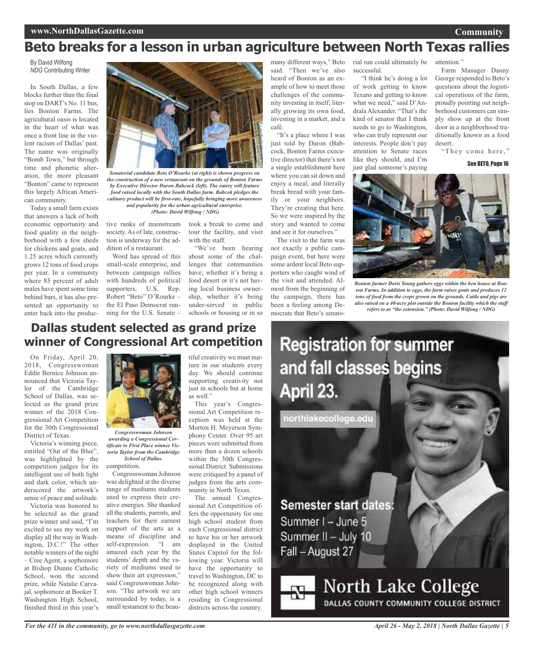Farm Manager Danny George responded to Beto's

# **Beto breaks for a lesson in urban agriculture between North Texas rallies**

By David Wilfong *NDG* Contributing Writer

In South Dallas, a few blocks further than the final stop on DART's No. 11 bus, lies Bonton Farms. The agricultural oasis is located in the heart of what was once a front line in the violent racism of Dallas' past. The name was originally "Bomb Town," but through time and phonetic alteration, the more pleasant "Bonton" came to represent this largely African American community.

Today a small farm exists that answers a lack of both economic opportunity and food quality in the neighborhood with a few sheds for chickens and goats, and 1.25 acres which currently grows 12 tons of food crops per year. In a community where 85 percent of adult males have spent some time behind bars, it has also presented an opportunity to enter back into the produc-



*Senatorial candidate Beto O'Rourke (at right) is shown progress on the construction of a new restaurant on the grounds of Bonton Farms by Executive Director Daron Babcock (left). The eatery will feature food raised locally with the South Dallas farm. Babcok pledges the culinary product will be first-rate, hopefully bringing more awareness and popularity for the urban agricultural enterprise. (Photo: David Wilfong / NDG)*

tive ranks of mainstream society. As of late, construction is underway for the addition of a restaurant.

Word has spread of this small-scale enterprise, and between campaign rallies with hundreds of political supporters, U.S. Rep. Robert "Beto" O'Rourke – the El Paso Democrat running for the U.S. Senate –

took a break to come and tour the facility, and visit with the staff.

"We've been hearing about some of the challenges that communities have; whether it's being a food desert or it's not having local business ownership, whether it's being under-served in public schools or housing or in so

many different ways," Beto said. "Then we've also heard of Bonton as an example of how to meet those challenges of the community investing in itself; literally growing its own food, investing in a market, and a café.

"It's a place where I was just told by Daron (Babcock, Bonton Farms executive director) that there's not a single establishment here where you can sit down and enjoy a meal, and literally break bread with your family or your neighbors. They're creating that here. So we were inspired by the story and wanted to come and see it for ourselves."

The visit to the farm was not exactly a public campaign event, but here were some ardent local Beto supporters who caught wind of the visit and attended. Almost from the beginning of the campaign, there has been a feeling among Democrats that Beto's senatorial run could ultimately be successful.

of work getting to know Texans and getting to know what we need," said D'Andrala Alexander. "That's the kind of senator that I think needs to go to Washington, who can truly represent our interests. People don't pay attention to Senate races like they should, and I'm just glad someone's paying

"I think he's doing a lot



attention.'

See BETO, Page 16



*Bonton farmer Doris Young gathers eggs within the hen house at Bonton Farms. In addition to eggs, the farm raises goats and produces 12 tons of food from the crops grown on the grounds. Cattle and pigs are also raised on a 40-acre plot outside the Bonton facility which the staff refers to as "the extension." (Photo: David Wilfong / NDG)*

### **Dallas student selected as grand prize winner of Congressional Art competition**

On Friday, April 20, 2018, Congresswoman Eddie Bernice Johnson announced that Victoria Taylor of the Cambridge School of Dallas, was selected as the grand prize winner of the 2018 Congressional Art Competition for the 30th Congressional District of Texas.

Victoria's winning piece, entitled "Out of the Blue", was highlighted by the competition judges for its intelligent use of both light and dark color, which underscored the artwork's sense of peace and solitude.

Victoria was honored to be selected as the grand prize winner and said, "I'm excited to see my work on display all the way in Washington, D.C.!" The other notable winners of the night – Cree Agent, a sophomore at Bishop Dunne Catholic School, won the second prize, while Natalie Carvajal, sophomore at Booker T. Washington High School, finished third in this year's



competition. *tificate to First Place winner Victoria Taylor from the Cambridge School of Dallas.*

Congresswoman Johnson was delighted at the diverse range of mediums students used to express their creative energies. She thanked all the students, parents, and teachers for their earnest support of the arts as a means of discipline and self-expression. "I am amazed each year by the students' depth and the variety of mediums used to show their art expression," said Congresswoman Johnson. "The artwork we are surrounded by today, is a small testament to the beautiful creativity we must nurture in our students every day. We should continue supporting creativity not just in schools but at home as well."

This year's Congressional Art Competition reception was held at the Morton H. Meyerson Symphony Center. Over 95 art pieces were submitted from more than a dozen schools within the 30th Congressional District. Submissions were critiqued by a panel of judges from the arts community in North Texas.

The annual Congressional Art Competition offers the opportunity for one high school student from each Congressional district to have his or her artwork displayed in the United States Capitol for the following year. Victoria will have the opportunity to travel to Washington, DC to be recognized along with other high school winners residing in Congressional districts across the country.

# **Registration for summer** and fall classes begins April 23.

northlakecollege.edu

Semester start dates: Summer I - June 5 Summer II - July 10 Fall - August 27

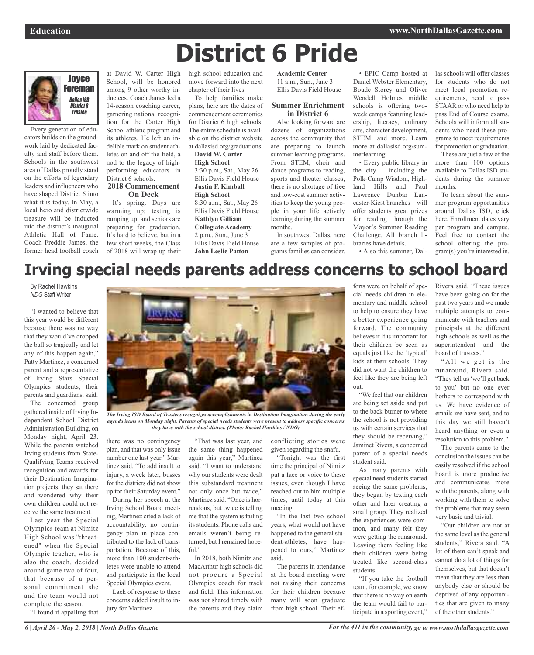

Every generation of educators builds on the groundwork laid by dedicated faculty and staff before them. Schools in the southwest area of Dallas proudly stand on the efforts of legendary leaders and influencers who have shaped District 6 into what it is today. In May, a local hero and districtwide treasure will be inducted into the district's inaugural Athletic Hall of Fame. Coach Freddie James, the former head football coach

at David W. Carter High School, will be honored among 9 other worthy inductees. Coach James led a 14-season coaching career, garnering national recognition for the Carter High School athletic program and its athletes. He left an indelible mark on student athletes on and off the field, a nod to the legacy of highperforming educators in District 6 schools. **2018 Commencement**

**On Deck** It's spring. Days are warming up; testing is ramping up; and seniors are preparing for graduation. It's hard to believe, but in a few short weeks, the Class of 2018 will wrap up their high school education and move forward into the next chapter of their lives.

To help families make plans, here are the dates of commencement ceremonies for District 6 high schools. The entire schedule is available on the district website at dallasisd.org/graduations.

**David W. Carter High School** 3:30 p.m., Sat., May 26 Ellis Davis Field House **Justin F. Kimball High School** 8:30 a.m., Sat., May 26 Ellis Davis Field House **Kathlyn Gilliam Collegiate Academy** 2 p.m., Sun., June 3 Ellis Davis Field House **John Leslie Patton**

#### **Academic Center** 11 a.m., Sun., June 3 Ellis Davis Field House

**District 6 Pride**

#### **Summer Enrichment in District 6**

Also looking forward are dozens of organizations across the community that are preparing to launch summer learning programs. From STEM, choir and dance programs to reading, sports and theater classes, there is no shortage of free and low-cost summer activities to keep the young people in your life actively learning during the summer months.

In southwest Dallas, here are a few samples of programs families can consider.

• EPIC Camp hosted at Daniel Webster Elementary, Boude Storey and Oliver Wendell Holmes middle schools is offering twoweek camps featuring leadership, literacy, culinary arts, character development, STEM, and more. Learn more at dallasisd.org/summerlearning. • Every public library in

the city – including the Polk-Camp Wisdom, Highland Hills and Paul Lawrence Dunbar Lancaster-Kiest branches – will offer students great prizes for reading through the Mayor's Summer Reading Challenge. All branch libraries have details.

• Also this summer, Dal-

las schools will offer classes for students who do not meet local promotion requirements, need to pass STAAR or who need help to pass End of Course exams. Schools will inform all students who need these programs to meet requirements for promotion or graduation.

These are just a few of the more than 100 options available to Dallas ISD students during the summer months.

To learn about the summer program opportunities around Dallas ISD, click here. Enrollment dates vary per program and campus. Feel free to contact the school offering the program(s) you're interested in.

# **Irving special needs parents address concerns to school board**

By Rachel Hawkins *NDG* Staff Writer

"I wanted to believe that this year would be different because there was no way that they would've dropped the ball so tragically and let any of this happen again," Patty Martinez, a concerned parent and a representative of Irving Stars Special Olympics students, their parents and guardians, said.

The concerned group gathered inside of Irving Independent School District Administration Building, on Monday night, April 23. While the parents watched Irving students from State-Qualifying Teams received recognition and awards for their Destination Imagination projects, they sat there and wondered why their own children could not receive the same treatment.

Last year the Special Olympics team at Nimitz High School was "threatened" when the Special Olympic teacher, who is also the coach, decided around game two of four, that because of a personal commitment she and the team would not complete the season.

"I found it appalling that



*The Irving ISD Board of Trustees recognizes accomplishments in Destination Imagination during the early agenda items on Monday night. Parents of special needs students were present to address specific concerns they have with the school district. (Photo: Rachel Hawkins / NDG)*

there was no contingency plan, and that was only issue number one last year," Martinez said. "To add insult to injury, a week later, busses for the districts did not show up for their Saturday event."

During her speech at the Irving School Board meeting, Martinez cited a lack of accountability, no contingency plan in place contributed to the lack of transportation. Because of this, more than 100 student-athletes were unable to attend and participate in the local Special Olympics event.

Lack of response to these concerns added insult to injury for Martinez.

"That was last year, and the same thing happened again this year," Martinez said. "I want to understand why our students were dealt this substandard treatment not only once but twice," Martinez said. "Once is horrendous, but twice is telling me that the system is failing its students. Phone calls and emails weren't being returned, but I remained hope $f_{11}$ "

In 2018, both Nimitz and MacArthur high schools did not procure a Special Olympics coach for track and field. This information was not shared timely with the parents and they claim

conflicting stories were given regarding the snafu.

"Tonight was the first time the principal of Nimitz put a face or voice to these issues, even though I have reached out to him multiple times, until today at this meeting.

"In the last two school years, what would not have happened to the general student-athletes, have happened to ours," Martinez said.

The parents in attendance at the board meeting were not raising their concerns for their children because many will soon graduate from high school. Their ef-

forts were on behalf of special needs children in elementary and middle school to help to ensure they have a better experience going forward. The community believes it It is important for their children be seen as equals just like the 'typical' kids at their schools. They did not want the children to feel like they are being left out.

"We feel that our children are being set aside and put to the back burner to where the school is not providing us with certain services that they should be receiving," Jaminet Rivera, a concerned parent of a special needs student said.

As many parents with special need students started seeing the same problems, they began by texting each other and later creating a small group. They realized the experiences were common, and many felt they were getting the runaround. Leaving them feeling like their children were being treated like second-class students.

"If you take the football team, for example, we know that there is no way on earth the team would fail to participate in a sporting event,"

Rivera said. "These issues have been going on for the past two years and we made multiple attempts to communicate with teachers and principals at the different high schools as well as the superintendent and the board of trustees."

"All we get is the runaround, Rivera said. "They tell us 'we'll get back to you' but no one ever bothers to correspond with us. We have evidence of emails we have sent, and to this day we still haven't heard anything or even a resolution to this problem."

The parents came to the conclusion the issues can be easily resolved if the school board is more productive and communicates more with the parents, along with working with them to solve the problems that may seem very basic and trivial.

"Our children are not at the same level as the general students," Rivera said. "A lot of them can't speak and cannot do a lot of things for themselves, but that doesn't mean that they are less than anybody else or should be deprived of any opportunities that are given to many of the other students."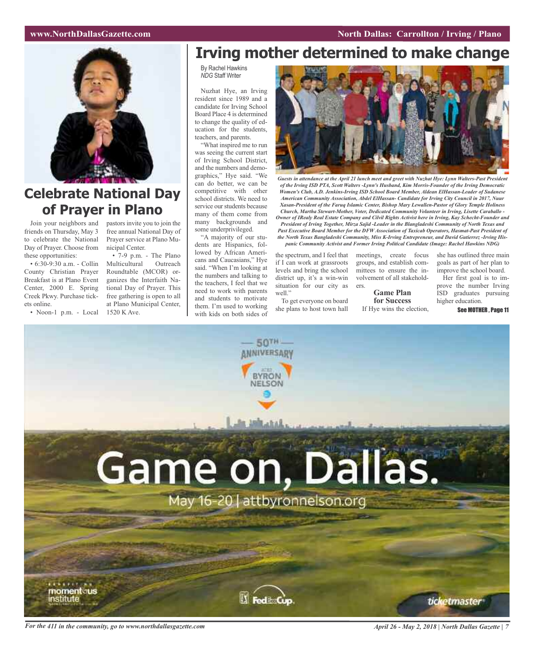

# **Celebrate National Day of Prayer in Plano**

Join your neighbors and friends on Thursday, May 3 to celebrate the National Day of Prayer. Choose from these opportunities:

• 6:30-9:30 a.m. - Collin County Christian Prayer Breakfast is at Plano Event Center, 2000 E. Spring Creek Pkwy. Purchase tickets online.

• Noon-1 p.m. - Local

pastors invite you to join the free annual National Day of Prayer service at Plano Municipal Center.

• 7-9 p.m. - The Plano Multicultural Outreach Roundtable (MCOR) organizes the Interfaith National Day of Prayer. This free gathering is open to all at Plano Municipal Center, 1520 K Ave.

# **Irving mother determined to make change**

By Rachel Hawkins *NDG* Staff Writer

Nuzhat Hye, an Irving resident since 1989 and a candidate for Irving School Board Place 4 is determined to change the quality of education for the students, teachers, and parents.

"What inspired me to run was seeing the current start of Irving School District, and the numbers and demographics," Hye said. "We can do better, we can be competitive with other school districts. We need to service our students because many of them come from many backgrounds and some underprivileged.

"A majority of our students are Hispanics, followed by African Americans and Caucasians," Hye said. "When I'm looking at the numbers and talking to the teachers, I feel that we need to work with parents and students to motivate them. I'm used to working with kids on both sides of



*Guests in attendance at the April 21 lunch meet and greet with Nuzhat Hye: Lynn Walters-Past President of the Irving ISD PTA, Scott Walters -Lynn's Husband, Kim Morris-Founder of the Irving Democratic Women's Club, A.D. Jenkins-Irving ISD School Board Member, Aldean ElHassan-Leader of Sudanese American Community Association, Abdel ElHassan- Candidate for Irving City Council in 2017, Nuur Xasan-President of the Faruq Islamic Center, Bishop Mary Lewallen-Pastor of Glory Temple Holiness Church, Martha Stewart-Mother, Voter, Dedicated Community Volunteer in Irving, Lisette Caraballo - Owner of IRealy Real Estate Company and Cilvil Rights Activist here in Irving, Kay Schecht-Founder and President of Irving Together, Mirza Sajid -Leader in the Blangladeshi Community of North Texas and Past Executive Board Member for the DFW Association of Taxicab Operators, Hasmat-Past President of the North Texas Bangladeshi Community, Miss K-Irving Entrepreneur, and David Gutierrez -Irving Hispanic Community Activist and Former Irving Political Candidate (Image: Rachel Hawkins NDG)*

the spectrum, and I feel that if I can work at grassroots levels and bring the school district up, it's a win-win situation for our city as well.'

To get everyone on board she plans to host town hall meetings, create focus groups, and establish committees to ensure the involvement of all stakeholders.

**Game Plan for Success** If Hye wins the election, she has outlined three main goals as part of her plan to improve the school board.

Her first goal is to improve the number Irving ISD graduates pursuing higher education.

See MOTHER , Page 11



For the 411 in the community, go to www.northdallasgazette.com April 26 - May 2, 2018 | North Dallas Gazette | 7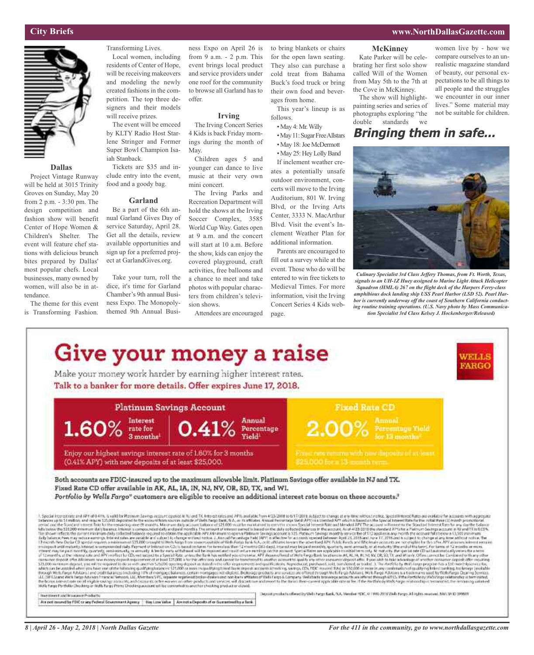#### **City Briefs**





#### **Dallas**

Project Vintage Runway will be held at 3015 Trinity Groves on Sunday, May 20 from 2 p.m. - 3:30 pm. The design competition and fashion show will benefit Center of Hope Women & Children's Shelter. The event will feature chef stations with delicious brunch bites prepared by Dallas' most popular chefs. Local businesses, many owned by women, will also be in attendance.

The theme for this event is Transforming Fashion.



Local women, including residents of Center of Hope, will be receiving makeovers and modeling the newly created fashions in the competition. The top three designers and their models will receive prizes.

The event will be emceed by KLTY Radio Host Starlene Stringer and Former Super Bowl Champion Isaiah Stanback.

Tickets are \$35 and include entry into the event, food and a goody bag.

#### **Garland**

Be a part of the 6th annual Garland Gives Day of service Saturday, April 28. Get all the details, review available opportunities and sign up for a preferred project at GarlandGives.org.

Take your turn, roll the dice, it's time for Garland Chamber's 9th annual Business Expo. The Monopolythemed 9th Annual Busi-

ness Expo on April 26 is from 9 a.m. - 2 p.m. This event brings local product and service providers under one roof for the community to browse all Garland has to offer.

#### **Irving**

The Irving Concert Series 4 Kids is back Friday mornings during the month of May.

Children ages 5 and younger can dance to live music at their very own mini concert.

The Irving Parks and Recreation Department will hold the shows at the Irving Soccer Complex, 3585 World Cup Way. Gates open at 9 a.m. and the concert will start at 10 a.m. Before the show, kids can enjoy the covered playground, craft activities, free balloons and a chance to meet and take photos with popular characters from children's television shows.

Attendees are encouraged

to bring blankets or chairs for the open lawn seating. They also can purchase a cold treat from Bahama Buck's food truck or bring their own food and beverages from home.

follows. • May 4: Mr.Willy

• May 11: Sugar Free Allstars • May 18:Joe McDermott • May 25: Hey Lolly Band

If inclement weather creates a potentially unsafe outdoor environment, concerts will move to the Irving Auditorium, 801 W. Irving Blvd, or the Irving Arts Center, 3333 N. MacArthur Blvd. Visit the event's Inclement Weather Plan for additional information.

Parents are encouraged to fill out a survey while at the event. Those who do will be entered to win free tickets to Medieval Times. For more information, visit the Irving Concert Series 4 Kids webpage.

#### **McKinney**

Kate Parker will be celebrating her first solo show called Will of the Women from May 5th to the 7th at the Cove in McKinney.

This year's lineup is as The show will highlightpainting series and series of photographs exploring "the double standards

women live by - how we compare ourselves to an unrealistic magazine standard of beauty, our personal expectations to be all things to all people and the struggles we encounter in our inner lives." Some material may not be suitable for children.



**Bringing them in safe...**

*Culinary Specialist 3rd Class Jeffery Thomas, from Ft. Worth, Texas, signals to an UH-1Z Huey assigned to Marine Light Attack Helicopter Squadron (HMLA) 267 on the flight deck of the Harpers Ferry-class amphibious dock landing ship USS Pearl Harbor (LSD 52). Pearl Harbor is currently underway off the coast of Southern California conducting routine training operations. (U.S. Navy photo by Mass Communication Specialist 3rd Class Kelsey J. Hockenberger/Released)*

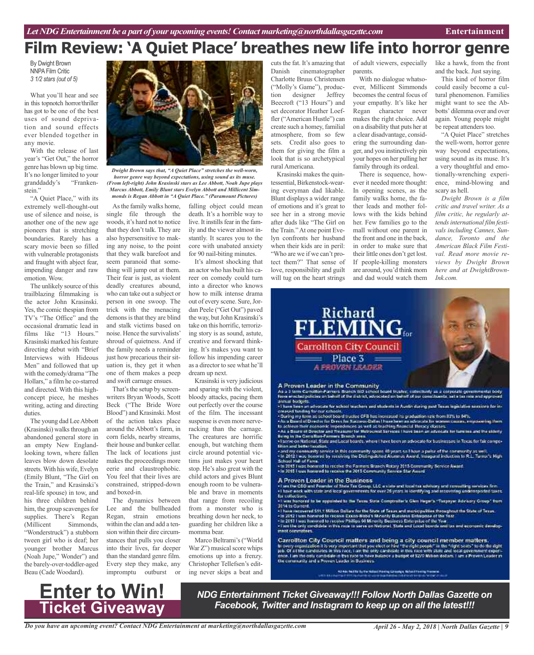By Dwight Brown NNPA Film Critic *3 1/2 stars (out of 5)*

What you'll hear and see in this topnotch horror/thriller has got to be one of the best uses of sound deprivation and sound effects ever blended together in any movie.

With the release of last year's "Get Out," the horror genre has blown up big time. It's no longer limited to your granddaddy's "Frankenstein."

"A Quiet Place," with its extremely well-thought-out use of silence and noise, is another one of the new age pioneers that is stretching boundaries. Rarely has a scary movie been so filled with vulnerable protagonists and fraught with abject fear, impending danger and raw emotion. Wow.

The unlikely source of this trailblazing filmmaking is the actor John Krasinski. Yes, the comic thespian from TV's "The Office" and the occasional dramatic lead in films like "13 Hours." Krasinski marked his feature directing debut with "Brief Interviews with Hideous Men" and followed that up with the comedy/drama "The Hollars," a film he co-starred and directed. With this highconcept piece, he meshes writing, acting and directing duties.

The young dad LeeAbbott (Krasinski) walks through an abandoned general store in an empty New Englandlooking town, where fallen leaves blow down desolate streets.With his wife, Evelyn (Emily Blunt, "The Girl on the Train," and Krasinski's real-life spouse) in tow, and his three children behind him, the group scavenges for supplies. There's Regan (Millicent Simmonds, "Wonderstruck") a stubborn tween girl who is deaf; her younger brother Marcus (Noah Jupe," Wonder") and the barely-over-toddler-aged Beau (Cade Woodard).



*Dwight Brown says that, "A Quiet Place" stretches the well-worn, horror genre way beyond expectations, using sound as its muse. (From left-right) John Krasinski stars as Lee Abbott, Noah Jupe plays Marcus Abbott, Emily Blunt stars Evelyn Abbott and Millicent Simmonds is Regan Abbott in "A Quiet Place." (Paramount Pictures)*

Asthe family walks home, single file through the woods, it's hard not to notice that they don't talk. They are also hypersensitive to making any noise, to the point that they walk barefoot and seem paranoid that something will jump out at them. Their fear is just, as violent deadly creatures abound, who can take out a subject or person in one swoop. The trick with the menacing demons is that they are blind and stalk victims based on noise. Hence the survivalists' shroud of quietness. And if the family needs a reminder just how precarious their situation is, they get it when one of them makes a peep and swift carnage ensues.

That's the setup by screenwriters Bryan Woods, Scott Beck ("The Bride Wore Blood") and Krasinski. Most of the action takes place around the Abbott's farm, in corn fields, nearby streams, their house and bunker cellar. The lack of locations just makes the proceedings more eerie and claustrophobic. You feel that their lives are constrained, stripped-down and boxed-in.

The dynamics between Lee and the bullheaded Regan, strain emotions within the clan and add a tension within their dire circumstances that pulls you closer into their lives, far deeper than the standard genre film. Every step they make, any impromptu outburst or falling object could mean death. It's a horrible way to live. It instills fear in the family and the viewer almost instantly. It scares you to the core with unabated anxiety for 90 nail-biting minutes.

It's almost shocking that an actor who has built his career on comedy could turn into a director who knows how to milk intense drama out of every scene. Sure, Jordan Peele ("Get Out") paved the way, but John Krasinski's take on this horrific, terrorizing story is as sound, astute, creative and forward thinking. It's makes you want to follow his impending career as a director to see what he'll dream up next.

Krasinski is very judicious and sparing with the violent, bloody attacks, pacing them out perfectly over the course of the film. The incessant suspense is even more nerveracking than the carnage. The creatures are horrific enough, but watching them circle around potential victims just makes your heart stop. He's also great with the child actors and gives Blunt enough room to be vulnerable and brave in moments that range from recoiling from a monster who is breathing down her neck, to guarding her children like a momma bear.

Marco Beltrami's("World War Z") musical score whips emotions up into a frenzy. Christopher Tellefsen's editing never skips a beat and Danish cinematographer Charlotte Bruus Christensen ("Molly's Game"), production designer Jeffrey Beecroft ("13 Hours") and set decorator Heather Loeffler ("American Hustle") can create such a homey, familial atmosphere, from so few sets. Credit also goes to them for giving the film a look that is so archetypical rural Americana.

Krasinski makes the quintessential, Birkenstock-wearing everyman dad likable. Blunt displays a wider range of emotions and it's great to see her in a strong movie after duds like "The Girl on the Train."At one point Evelyn confronts her husband when their kids are in peril: "Who are we if we can't protect them?" That sense of love, responsibility and guilt will tug on the heart strings

cuts the fat. It's amazing that of adult viewers, especially parents.

With no dialogue whatsoever, Millicent Simmonds becomes the central focus of your empathy. It's like her Regan character never makes the right choice. Add on a disability that puts her at a clear disadvantage, considering the surrounding danger, and you instinctively pin your hopes on her pulling her family through its ordeal.

There is sequence, however it needed more thought: In opening scenes, as the family walks home, the father leads and mother follows with the kids behind her. Few families go to the mall without one parent in the front and one in the back, in order to make sure that their little ones don't get lost. If people-killing monsters are around, you'd think mom and dad would watch them like a hawk, from the front and the back. Just saying.

This kind of horror film could easily become a cultural phenomenon. Families might want to see the Abbotts' dilemma over and over again. Young people might be repeat attenders too.

"A Quiet Place" stretches the well-worn, horror genre way beyond expectations, using sound as its muse. It's a very thoughtful and emotionally-wrenching experience, mind-blowing and scary as hell.

*Dwight Brown is a film critic and travel writer. As a film critic, he regularly attendsinternational film festivals including Cannes, Sundance, Toronto and the American Black Film Festival. Read more movie reviews by Dwight Brown here and at DwightBrown-Ink.com.*



As a 3 ferm Carrollton-Farmers Standh 350 school board trusher, culledtivity as a corporate governmental body<br>Form imacted policies on behalf of the district, revocated on behalf of our consciounts, set a turning and appro annus budges.<br>• I have been an advocate for school wachers and students in Austin during past Texas legislative westions for massed funding for our schools creased funding for our schools.<br>• Darley my furnitus schools board trusted CFB has increased by graduation rate from 83% to 84%.<br>• As a Based of Drester for Dress for Sucrares-Dallas I have been an advanced for warmin cau than and better taxation.<br>- and my community service in this community spans 40 years on those a pulse of the community as well.<br>- In 2012 I was bonored by receiving the Distinguished Asumus Award, magneti induction to R. acmost rise or Family 11.<br>• In 2013 I was honored In receive the Farmers Branch Rotary 2015 Community Service Award.<br>• In 2015 I was honored In receive the 2015 Community Service Star Award. A Proven Leader in the Business . I am the CEO and Foundatio! State Tax Cross. LLC a side and local has advisory and consulting services form<br>\*I have work with state and local governments for over 26 years in identifying and recovering underreported taxe be collections. . Was honored to be sppointed to the Texas Strue Comptratie's Cless Heger's "Texpayer Advisory Group" from -1 was honorated to be appointed to the Term. Strue Comptratie's Clen Hegars. "Texpayer Advisory Group" from<br>2014 has recovered \$11.1 Million Dallars for the Store of Texas and monicipalities throughout the State of Texas.

Carrollton City Council matters and being a city council member matters. Not contrast to the state of the properties of the state of the state of the state of the state of the state of the state of the state of the state of the state of the state of the state of the state of the state of the st

.<br>. The state function is a price material permit of the sign district the sign function.



*NDG Entertainment Ticket Giveaway!!! Follow North Dallas Gazette on Facebook, Twitter and Instagram to keep up on all the latest!!!*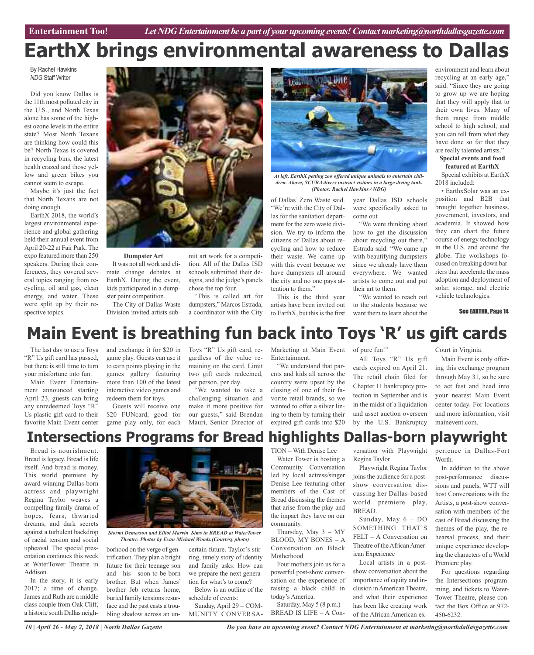# **EarthX brings environmental awareness to Dallas**

By Rachel Hawkins *NDG* Staff Writer

Did you know Dallas is the 11th most polluted city in the U.S., and North Texas alone has some of the highest ozone levels in the entire state? Most North Texans are thinking how could this be? North Texas is covered in recycling bins, the latest health crazed and those yellow and green bikes you cannot seem to escape.

Maybe it's just the fact that North Texans are not doing enough.

EarthX 2018, the world's largest environmental experience and global gathering held their annual event from April 20-22 at Fair Park. The expo featured more than 250 speakers. During their conferences, they covered several topics ranging from recycling, oil and gas, clean energy, and water. These were split up by their respective topics.



**Dumpster Art**

It was not all work and climate change debates at EarthX. During the event, kids participated in a dumpster paint competition.

The City of Dallas Waste Division invited artists submit art work for a competition. All of the Dallas ISD schools submitted their designs, and the judge's panels chose the top four.

"This is called art for dumpsters," Marcos Estrada, a coordinator with the City



*At left, EarthX petting zoo offered unique animals to entertain children. Above, SCUBA divers instruct visitors in a large diving tank. (Photos: Rachel Hawkins / NDG)*

of Dallas' Zero Waste said. "We're with the City of Dallas for the sanitation department for the zero waste division. We try to inform the citizens of Dallas about recycling and how to reduce their waste. We came up with this event because we have dumpsters all around the city and no one pays attention to them."

This is the third year artists have been invited out to Earth $X$ , but this is the first

year Dallas ISD schools were specifically asked to come out

"We were thinking about how to get the discussion about recycling out there," Estrada said. "We came up with beautifying dumpsters since we already have them everywhere. We wanted artists to come out and put their art to them.

"We wanted to reach out to the students because we want them to learn about the

environment and learn about recycling at an early age," said. "Since they are going to grow up we are hoping that they will apply that to their own lives. Many of them range from middle school to high school, and you can tell from what they have done so far that they are really talented artists."

#### **Special events and food featured at EarthX**

Special exhibits at EarthX 2018 included:

• EarthxSolar was an exposition and B2B that brought together business, government, investors, and academia. It showed how they can chart the future course of energy technology in the U.S. and around the globe. The workshops focused on breaking down barriers that accelerate the mass adoption and deployment of solar, storage, and electric vehicle technologies.

#### See EARTHX, Page 14

# **Main Event is breathing fun back into Toys 'R' us gift cards**

The last day to use a Toys "R" Us gift card has passed, but there is still time to turn your misfortune into fun.

Main Event Entertainment announced starting April 23, guests can bring any unredeemed Toys "R" Us plastic gift card to their favorite Main Event center

and exchange it for \$20 in game play. Guests can use it to earn points playing in the games gallery featuring more than 100 of the latest interactive video games and redeem them for toys.

Guests will receive one \$20 FUNcard, good for game play only, for each

Toys "R" Us gift card, regardless of the value remaining on the card. Limit two gift cards redeemed, per person, per day.

"We wanted to take a challenging situation and make it more positive for our guests," said Brendan Mauri, Senior Director of

Below is an outline of the

Sunday, April 29 – COM-

Marketing at Main Event Entertainment.

"We understand that parents and kids all across the country were upset by the closing of one of their favorite retail brands, so we wanted to offer a silver lining to them by turning their expired gift cards into \$20

of pure fun!"

All Toys "R" Us gift cards expired on April 21. The retail chain filed for Chapter 11 bankruptcy protection in September and is in the midst of a liquidation and asset auction overseen by the U.S. Bankruptcy Court in Virginia.

Main Event is only offering this exchange program through May 31, so be sure to act fast and head into your nearest Main Event center today. For locations and more information, visit mainevent.com.

# **Intersections Programs for Bread highlights Dallas-born playwright**

Bread is nourishment. Bread is legacy. Bread is life itself. And bread is money. This world premiere by award-winning Dallas-born actress and playwright Regina Taylor weaves a compelling family drama of hopes, fears, thwarted dreams, and dark secrets against a turbulent backdrop of racial tension and social upheaval. The special presentation continues this week at WaterTower Theatre in Addison.

In the story, it is early 2017; a time of change. James and Ruth are a middle class couple from Oak Cliff, a historic south Dallas neigh-



*Stormi Demerson and Elliot Marvin Sims in BREAD at WaterTower Theatre. Photos by Evan Michael Woods.(Courtesy photo)*

borhood on the verge of gentrification. They plan a bright future for their teenage son and his soon-to-be-born brother. But when James' brother Jeb returns home, buried family tensions resurface and the past casts a troubling shadow across an uncertain future. Taylor's stirring, timely story of identity and family asks: How can we prepare the next generation for what's to come? schedule of events: MUNITY CONVERSA-

Water Tower is hosting a Community Conversation led by local actress/singer

Denise Lee featuring other members of the Cast of Bread discussing the themes that arise from the play and the impact they have on our community.

TION – With Denise Lee

Thursday, May 3 – MY BLOOD, MY BONES – A Conversation on Black Motherhood

Four mothers join us for a powerful post-show conversation on the experience of raising a black child in today's America.

Saturday, May 5 (8 p.m.) – BREAD IS LIFE – A Con-

versation with Playwright perience in Dallas-Fort Regina Taylor

Playwright Regina Taylor joins the audience for a postshow conversation discussing her Dallas-based world premiere play, BREAD.

Sunday, May 6 – DO SOMETHING THAT'S FELT – A Conversation on Theatre of the African American Experience

Local artists in a postshow conversation about the importance of equity and inclusion inAmerican Theatre, and what their experience has been like creating work of the African American exWorth.

In addition to the above post-performance discussions and panels, WTT will host Conversations with the Artists, a post-show conversation with members of the cast of Bread discussing the themes of the play, the rehearsal process, and their unique experience developing the characters of a World Premiere play.

For questions regarding the Intersections programming, and tickets to Water-Tower Theatre, please contact the Box Office at 972- 450-6232.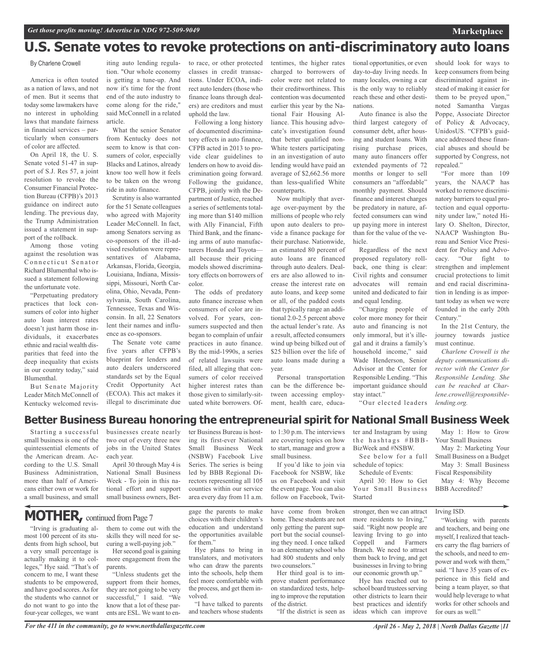# **U.S. Senate votes to revoke protections on anti-discriminatory auto loans**

By Charlene Crowell

America is often touted as a nation of laws, and not of men. But it seems that today some lawmakers have no interest in upholding laws that mandate fairness in financial services – particularly when consumers of color are affected.

On April 18, the U. S. Senate voted 51-47 in support of S.J. Res 57, a joint resolution to revoke the Consumer Financial Protection Bureau (CFPB)'s 2013 guidance on indirect auto lending. The previous day, the Trump Administration issued a statement in support of the rollback.

Among those voting against the resolution was Connecticut Senator Richard Blumenthal who issued a statement following the unfortunate vote.

"Perpetuating predatory practices that lock consumers of color into higher auto loan interest rates doesn't just harm those individuals, it exacerbates ethnic and racial wealth disparities that feed into the deep inequality that exists in our country today," said Blumenthal.

But Senate Majority Leader Mitch McConnell of Kentucky welcomed revis-

iting auto lending regulation. "Our whole economy is getting a tune-up. And now it's time for the front end of the auto industry to come along for the ride," said McConnell in a related article.

What the senior Senator from Kentucky does not seem to know is that consumers of color, especially Blacks and Latinos, already know too well how it feels to be taken on the wrong ride in auto finance.

Scrutiny is also warranted for the 51 Senate colleagues who agreed with Majority Leader McConnell. In fact, among Senators serving as co-sponsors of the ill-advised resolution were representatives of Alabama, Arkansas, Florida, Georgia, Louisiana, Indiana, Mississippi, Missouri, North Carolina, Ohio, Nevada, Pennsylvania, South Carolina, Tennessee, Texas and Wisconsin. In all, 22 Senators lent their names and influence as co-sponsors.

The Senate vote came five years after CFPB's blueprint for lenders and auto dealers underscored standards set by the Equal Credit Opportunity Act (ECOA). This act makes it illegal to discriminate due

to race, or other protected classes in credit transactions. Under ECOA, indirect auto lenders (those who finance loans through dealers) are creditors and must uphold the law.

Following a long history of documented discriminatory effects in auto finance, CFPB acted in 2013 to provide clear guidelines to lenders on how to avoid discrimination going forward. Following the guidance, CFPB, jointly with the Department of Justice, reached a series of settlements totaling more than \$140 million with Ally Financial, Fifth Third Bank, and the financing arms of auto manufacturers Honda and Toyota all because their pricing models showed discriminatory effects on borrowers of color.

The odds of predatory auto finance increase when consumers of color are involved. For years, consumers suspected and then began to complain of unfair practices in auto finance. By the mid-1990s, a series of related lawsuits were filed, all alleging that consumers of color received higher interest rates than those given to similarly-situated white borrowers. Oftentimes, the higher rates charged to borrowers of color were not related to their creditworthiness. This contention was documented earlier this year by the National Fair Housing Alliance. This housing advocate's investigation found that better qualified non-White testers participating in an investigation of auto lending would have paid an average of \$2,662.56 more than less-qualified White counterparts.

Now multiply that average over-payment by the millions of people who rely upon auto dealers to provide a finance package for their purchase. Nationwide, an estimated 80 percent of auto loans are financed through auto dealers. Dealers are also allowed to increase the interest rate on auto loans, and keep some or all, of the padded costs that typically range an additional 2.0-2.5 percent above the actual lender's rate. As a result, affected consumers wind up being bilked out of \$25 billion over the life of auto loans made during a year.

Personal transportation can be the difference between accessing employment, health care, educational opportunities, or even day-to-day living needs. In many locales, owning a car is the only way to reliably reach these and other destinations.

Auto finance is also the third largest category of consumer debt, after housing and student loans. With rising purchase prices, many auto financers offer extended payments of 72 months or longer to sell consumers an "affordable" monthly payment. Should finance and interest charges be predatory in nature, affected consumers can wind up paying more in interest than for the value of the vehicle.

Regardless of the next proposed regulatory rollback, one thing is clear: Civil rights and consumer advocates will remain united and dedicated to fair and equal lending.

"Charging people of color more money for their auto and financing is not only immoral, but it's illegal and it drains a family's household income," said Wade Henderson, Senior Advisor at the Center for Responsible Lending. "This important guidance should stay intact."

should look for ways to keep consumers from being discriminated against instead of making it easier for them to be preyed upon," noted Samantha Vargas Poppe, Associate Director of Policy & Advocacy, UnidosUS. "CFPB's guidance addressed these financial abuses and should be supported by Congress, not repealed."

**Marketplace**

"For more than 109 years, the NAACP has worked to remove discriminatory barriers to equal protection and equal opportunity under law," noted Hilary O. Shelton, Director, NAACP Washington Bureau and Senior Vice President for Policy and Advocacy. "Our fight to strengthen and implement crucial protections to limit and end racial discrimination in lending is as important today as when we were founded in the early 20th Century."

In the 21st Century, the journey towards justice must continue.

*Charlene Crowell is the deputy communications director with the Center for Responsible Lending. She can be reached at Charlene.crowell@responsiblelending.org.*

"Our elected leaders

### **Better Business Bureau honoring the entrepreneurial spirit for National Small Business Week**

Starting a successful small business is one of the quintessential elements of the American dream. According to the U.S. Small Business Administration, more than half of Americans either own or work for a small business, and small

"Irving is graduating almost 100 percent of its students from high school, but a very small percentage is actually making it to colleges," Hye said. "That's of concern to me, I want these students to be empowered, and have good scores.Asfor the students who cannot or do not want to go into the four-year colleges, we want

**MOTHER**, continued from Page 7

businesses create nearly two out of every three new jobs in the United States each year.

April 30 through May 4 is National Small Business Week - To join in this national effort and support small business owners, Bet-

them to come out with the skills they will need for securing a well-paying job." Her second goal is gaining more engagement from the

"Unless students get the support from their homes, they are not going to be very successful," 1 said. "We know that a lot of these parents are ESL. We want to en-

ter Business Bureau is hosting its first-ever National Small Business Week (NSBW) Facebook Live Series. The series is being led by BBB Regional Directors representing all 105 counties within our service area every day from 11 a.m.

gage the parents to make choices with their children's education and understand the opportunities available

Hye plans to bring in translators, and motivators who can draw the parents into the schools, help them feel more comfortable with the process, and get them in-

"I have talked to parents and teachers whose students

for them."

volved.

to 1:30 p.m. The interviews are covering topics on how to start, manage and grow a small business.

If you'd like to join via Facebook for NSBW, like us on Facebook and visit the event page. You can also follow on Facebook, Twit-

have come from broken home. These students are not only getting the parent support but the social counseling they need. I once talked to an elementary school who had 800 students and only two counselors."

Her third goal is to improve student performance on standardized tests, helping to improve the reputation of the district.

"If the district is seen as

ter and Instagram by using the hashtags  $#BBB-$ BizWeek and #NSBW.

See below for a full schedule of topics: Schedule of Events:

April 30: How to Get Your Small Business Started

stronger, then we can attract more residents to Irving," said. "Right now people are leaving Irving to go into Coppell and Farmers Branch. We need to attract them back to Irving, and get businesses in Irving to bring our economic growth up."

Hye has reached out to school board trustees serving other districts to learn their best practices and identify ideas which can improve

May 1: How to Grow Your Small Business

May 2: Marketing Your Small Business on a Budget May 3: Small Business Fiscal Responsibility

May 4: Why Become BBB Accredited?

#### Irving ISD.

"Working with parents and teachers, and being one myself, I realized that teachers carry the flag barriers of the schools, and need to empower and work with them," said. "I have 35 years of experience in this field and being a team player, so that would help leverage to what works for other schools and for ours as well."

parents.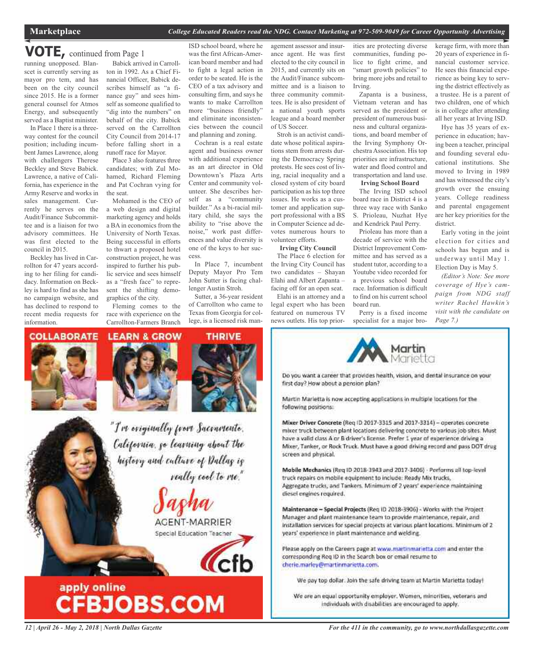# **VOTE,** continued from Page <sup>1</sup>

running unopposed. Blanscet is currently serving as mayor pro tem, and has been on the city council since 2015. He is a former general counsel for Atmos Energy, and subsequently served as a Baptist minister.

In Place 1 there is a threeway contest for the council position; including incumbent James Lawrence, along with challengers Therese Beckley and Steve Babick. Lawrence, a native of California, has experience in the Army Reserve and works in sales management. Currently he serves on the Audit/Finance Subcommittee and is a liaison for two advisory committees. He was first elected to the council in 2015.

Beckley has lived in Carrollton for 47 years according to her filing for candidacy. Information on Beckley is hard to find as she has no campaign website, and has declined to respond to recent media requests for information.

**COLLABORATE** 

Babick arrived in Carrollton in 1992. As a Chief Financial Officer, Babick describes himself as "a finance guy" and sees himself as someone qualified to "dig into the numbers" on behalf of the city. Babick served on the Carrollton City Council from 2014-17 before falling short in a runoff race for Mayor.

Place 3 also features three candidates; with Zul Mohamed, Richard Fleming and Pat Cochran vying for the seat.

Mohamed is the CEO of a web design and digital marketing agency and holds a BA in economics from the University of North Texas. Being successful in efforts to thwart a proposed hotel construction project, he was inspired to further his public service and sees himself as a "fresh face" to represent the shifting demographics of the city.

Fleming comes to the race with experience on the Carrollton-Farmers Branch

ISD school board, where he was the first African-American board member and had to fight a legal action in order to be seated. He is the CEO of a tax advisory and consulting firm, and says he wants to make Carrollton more "business friendly" and eliminate inconsistencies between the council and planning and zoning.

Cochran is a real estate agent and business owner with additional experience as an art director in Old Downtown's Plaza Arts Center and community volunteer. She describes herself as a "community builder." As a bi-racial military child, she says the ability to "rise above the noise," work past differences and value diversity is one of the keys to her success.

In Place 7, incumbent Deputy Mayor Pro Tem John Sutter is facing challenger Austin Stroh.

Sutter, a 36-year resident of Carrollton who came to Texas from Georgia for college, is a licensed risk management assessor and insurance agent. He was first elected to the city council in 2015, and currently sits on the Audit/Finance subcommittee and is a liaison to three community committees. He is also president of a national youth sports league and a board member of US Soccer.

Stroh is an activist candidate whose political aspirations stem from arrests during the Democracy Spring protests. He sees cost of living, racial inequality and a closed system of city board participation as his top three issues. He works as a customer and application support professional with a BS in Computer Science ad devotes numerous hours to volunteer efforts.

**Irving City Council** The Place 6 election for

the Irving City Council has two candidates – Shayan Elahi and Albert Zapanta – facing off for an open seat.

Elahi is an attorney and a legal expert who has been featured on numerous TV news outlets. His top priorities are protecting diverse communities, funding police to fight crime, and "smart growth policies" to bring more jobs and retail to Irving.

Zapanta is a business, Vietnam veteran and has served as the president or president of numerous business and cultural organizations, and board member of the Irving Symphony Orchestra Association. His top priorities are infrastructure, water and flood control and transportation and land use.

#### **Irving School Board**

The Irving ISD school board race in District 4 is a three way race with Sanko S. Prioleau, Nuzhat Hye and Kendrick Paul Perry.

Prioleau has more than a decade of service with the District Improvement Committee and has served as a student tutor, according to a Youtube video recorded for a previous school board race. Information is difficult to find on his current school board run.

Perry is a fixed income specialist for a major bro-

kerage firm, with more than 20 years of experience in financial customer service. He sees this financial experience as being key to serving the district effectively as a trustee. He is a parent of two children, one of which is in college after attending all her years at Irving ISD.

Hye has 35 years of experience in education; having been a teacher, principal and founding several educational institutions. She moved to Irving in 1989 and has witnessed the city's growth over the ensuing years. College readiness and parental engagement are her key priorities for the district.

Early voting in the joint election for cities and schools has begun and is underway until May 1. Election Day is May 5.

*(Editor's Note: See more coverage of Hye's campaign from NDG staff writer Rachel Hawkin's visit with the candidate on Page 7.)*

### **LEARN & GROW THRIVE**





"In eviginally from Sacramente. California, go learning about the history and culture of Dallag is really cool to me."

> AGENT-MARRIER Special Education Teacher



apply online<br>CFBJOBS.COM

**Martin**<br>Marietta

Do you want a career that provides health, vision, and dental insurance on your first day? How about a pension plan?

Martin Marietta is now accepting applications in multiple locations for the following positions:

Mixer Driver Concrete (Req ID 2017-3315 and 2017-3314) - operates concrete mixer truck between plant locations delivering concrete to various job sites. Must have a valid class A or B driver's license. Prefer 1 year of experience driving a Mixer, Tanker, or Rock Truck. Must have a good driving record and pass DOT drug screen and physical.

Mobile Mechanics (Reg ID 2018-3943 and 2017-3406) - Performs all top-level truck repairs on mobile equipment to include: Ready Mix trucks, Aggregate trucks, and Tankers. Minimum of 2 years' experience maintaining diesel engines required.

Maintenance - Special Projects (Reg ID 2018-3906) - Works with the Project Manager and plant maintenance team to provide maintenance, repair, and installation services for special projects at various plant locations. Minimum of 2 years' experience in plant maintenance and welding.

Please apply on the Careers page at www.martinmarietta.com and enter the corresponding Req ID in the Search box or email resume to cherie.marley@martinmarietta.com.

We pay top dollar. Join the safe driving team at Martin Marietta today!

We are an equal opportunity employer. Women, minorities, veterans and individuals with disabilities are encouraged to apply.

*12 | April 26 - May 2, 2018 | North Dallas Gazette*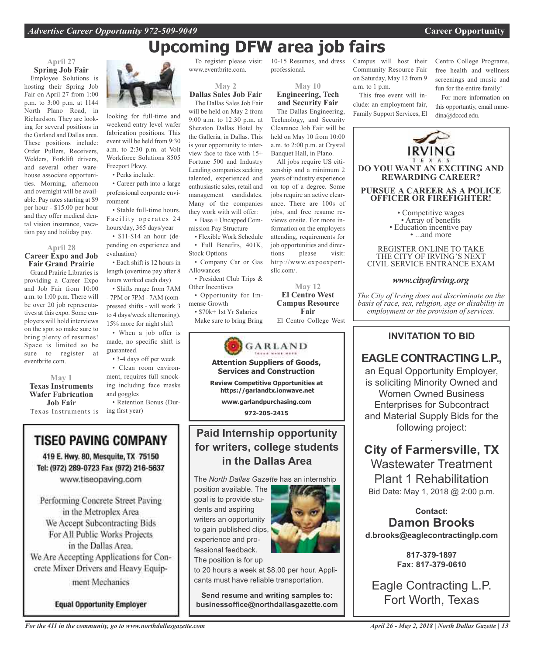### **April 27 Spring Job Fair**

Employee Solutions is hosting their Spring Job Fair on April 27 from 1:00 p.m. to 3:00 p.m. at 1144 North Plano Road, in Richardson. They are looking for several positions in the Garland and Dallas area. These positions include: Order Pullers, Receivers, Welders, Forklift drivers, and several other warehouse associate opportunities. Morning, afternoon and overnight will be available. Pay rates starting at \$9 per hour - \$15.00 per hour and they offer medical dental vision insurance, vacation pay and holiday pay.

#### **April 28 Career Expo and Job**

**Fair Grand Prairie** Grand Prairie Libraries is providing a Career Expo and Job Fair from 10:00 a.m. to 1:00 p.m. There will be over 20 job representatives at this expo. Some employers will hold interviews on the spot so make sure to bring plenty of resumes! Space is limited so be sure to register at eventbrite.com.

**May 1**

**Texas Instruments Wafer Fabrication Job Fair**

Texas Instruments is

# **TISEO PAVING COMPANY**

419 E. Hwy. 80, Mesquite, TX 75150 Tel: (972) 289-0723 Fax (972) 216-5637 www.tiseopaving.com

Performing Concrete Street Paving in the Metroplex Area We Accept Subcontracting Bids For All Public Works Projects in the Dallas Area. We Are Accepting Applications for Concrete Mixer Drivers and Heavy Equipment Mechanics

**Equal Opportunity Employer** 

looking for full-time and weekend entry level wafer fabrication positions. This event will be held from 9:30 a.m. to 2:30 p.m. at Volt Workforce Solutions 8505 Freeport Pkwy.

• Perks include:

• Career path into a large professional corporate environment

• Stable full-time hours. Facility operates 24 hours/day, 365 days/year

• \$11-\$14 an hour (depending on experience and evaluation)

• Each shift is 12 hours in length (overtime pay after 8 hours worked each day)

• Shifts range from 7AM - 7PM or 7PM - 7AM (compressed shifts - will work 3 to 4 days/week alternating). 15% more for night shift

• When a job offer is made, no specific shift is guaranteed.

• 3-4 days off per week

• Clean room environment, requires full smock-

ing including face masks and goggles • Retention Bonus (During first year)

To register please visit: www.eventbrite.com.

**May 2**

**Dallas Sales Job Fair** The Dallas Sales Job Fair

will be held on May 2 from 9:00 a.m. to 12:30 p.m. at Sheraton Dallas Hotel by the Galleria, in Dallas. This is your opportunity to interview face to face with 15+ Fortune 500 and Industry Leading companies seeking talented, experienced and enthusiastic sales, retail and management candidates. Many of the companies they work with will offer:

• Base + Uncapped Commission Pay Structure

• Flexible Work Schedule • Full Benefits, 401K, Stock Options

• Company Car or Gas Allowances

• President Club Trips & Other Incentives

• Opportunity for Immense Growth

• \$70k+ 1st Yr Salaries Make sure to bring Bring



**May 10 Engineering, Tech**

**and Security Fair** The Dallas Engineering, Technology, and Security Clearance Job Fair will be held on May 10 from 10:00 a.m. to 2:00 p.m. at Crystal Banquet Hall, in Plano.

All jobs require US citizenship and a minimum 2 years of industry experience on top of a degree. Some jobs require an active clearance. There are 100s of jobs, and free resume reviews onsite. For more information on the employers attending, requirements for job opportunities and directions please visit: http://www.expoexpertsllc.com/.

**May 12 El Centro West Campus Resource Fair**

Campus will host their Community Resource Fair on Saturday, May 12 from 9 a.m. to 1 p.m.

This free event will include: an employment fair, Family Support Services, El

Centro College Programs, free health and wellness screenings and music and fun for the entire family!

For more information on this opportuntiy, email mmedina@dcccd.edu.



THE CITY OF IRVING'S NEXT CIVIL SERVICE ENTRANCE EXAM

### *www.cityofirving.org*

*The City of Irving does not discriminate on the basis of race, sex, religion, age or disability in employment or the provision of services.*

### **INVITATION TO BID**

**EAGLE CONTRACTING L.P.,**

an Equal Opportunity Employer, is soliciting Minority Owned and Women Owned Business Enterprises for Subcontract and Material Supply Bids for the following project:

. **City of Farmersville, TX** Wastewater Treatment Plant 1 Rehabilitation Bid Date: May 1, 2018 @ 2:00 p.m.

## **Contact: Damon Brooks**

**d.brooks@eaglecontractinglp.com**

**817-379-1897 Fax: 817-379-0610**

Eagle Contracting L.P. Fort Worth, Texas

El Centro College West GARLAND

#### **Attention Suppliers of Goods, Services and Construction**

**Review Competitive Opportunities at https://garlandtx.ionwave.net**

> **www.garlandpurchasing.com 972-205-2415**

**Paid Internship opportunity for writers, college students in the Dallas Area**

The *North Dallas Gazette* has an internship

position available. The goal is to provide students and aspiring writers an opportunity to gain published clips, experience and professional feedback. The position is for up



to 20 hours a week at \$8.00 per hour. Applicants must have reliable transportation.

**Send resume and writing samples to: businessoffice@northdallasgazette.com**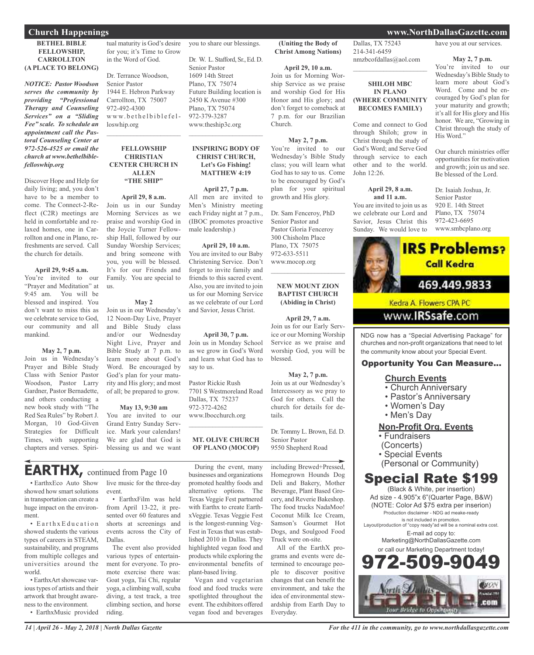#### **BETHEL BIBLE FELLOWSHIP, CARROLLTON (A PLACE TO BELONG)**

*NOTICE: Pastor Woodson serves the community by providing "Professional Therapy and Counseling Services" on a "Sliding Fee" scale. To schedule an appointment call the Pastoral Counseling Center at 972-526-4525 or email the church at www.bethelbiblefelloswhip.org*

Discover Hope and Help for daily living; and, you don't have to be a member to come. The Connect-2-Reflect (C2R) meetings are held in comfortable and relaxed homes, one in Carrollton and one in Plano, refreshments are served. Call the church for details.

#### **April 29, 9:45 a.m.**

You're invited to our "Prayer and Meditation" at 9:45 am. You will be blessed and inspired. You don't want to miss this as we celebrate service to God our community and all mankind.

#### **May 2, 7 p.m.**

Join us in Wednesday's Prayer and Bible Study Class with Senior Pastor Woodson, Pastor Larry Gardner, Pastor Bernadette, and others conducting a new book study with "The Red Sea Rules" by Robert J. Morgan, 10 God-Given Strategies for Difficult Times, with supporting chapters and verses. Spiritual maturity is God's desire for you; it's Time to Grow in the Word of God.

Dr. Terrance Woodson, Senior Pastor 1944 E. Hebron Parkway Carrollton, TX 75007 972-492-4300 www.bethelbiblefelloswhip.org

 $\mathcal{L}_\text{max}$  , which is a set of the set of the set of the set of the set of the set of the set of the set of the set of the set of the set of the set of the set of the set of the set of the set of the set of the set of

#### **FELLOWSHIP CHRISTIAN CENTER CHURCH IN ALLEN "THE SHIP"**

### **April 29, 8 a.m.**

Join us in our Sunday Morning Services as we praise and worship God in the Joycie Turner Fellowship Hall, followed by our Sunday Worship Services; and bring someone with you, you will be blessed. It's for our Friends and Family. You are special to us.

#### **May 2**

Join us in our Wednesday's 12 Noon-Day Live, Prayer and Bible Study class and/or our Wednesday Night Live, Prayer and Bible Study at 7 p.m. to learn more about God's Word. Be encouraged by God's plan for your maturity and His glory; and most of all; be prepared to grow.

#### **May 13, 9:30 am**

You are invited to our Grand Entry Sunday Service. Mark your calendars! We are glad that God is blessing us and we want

# **EARTHX,** continued from Page <sup>10</sup>

• EarthxEco Auto Show showed how smart solutions in transportation can create a huge impact on the environment.

• Earthx Education showed students the various types of careers in STEAM, sustainability, and programs from multiple colleges and universities around the world.

• EarthxArt showcase varioustypes of artists and their artwork that brought awareness to the environment.

• EarthxMusic provided

live music for the three-day

event. • EarthxFilm was held from April 13-22, it presented over 60 features and shorts at screenings and events across the City of Dallas.

The event also provided various types of entertainment for everyone. To promote exercise there was: Goat yoga, Tai Chi, regular yoga, a climbing wall, scuba diving, a test track, a tree climbing section, and horse riding.

you to share our blessings.

Dr. W. L. Stafford, Sr., Ed. D. Senior Pastor 1609 14th Street Plano, TX 75074 Future Building location is 2450 K Avenue #300 Plano, TX 75074 972-379-3287 www.theship3c.org

#### **INSPIRING BODY OF CHRIST CHURCH, Let's Go Fishing! MATTHEW 4:19**

 $\overline{\phantom{a}}$  , and the set of the set of the set of the set of the set of the set of the set of the set of the set of the set of the set of the set of the set of the set of the set of the set of the set of the set of the s

**April 27, 7 p.m.** All men are invited to Men's Ministry meeting each Friday night at 7 p.m., (IBOC promotes proactive male leadership.)

#### **April 29, 10 a.m.**

You are invited to our Baby Christening Service. Don't forget to invite family and friends to this sacred event. Also, you are invited to join us for our Morning Service as we celebrate of our Lord and Savior, Jesus Christ.

#### **April 30, 7 p.m.**

Join us in Monday School as we grow in God's Word and learn what God has to say to us.

Pastor Rickie Rush 7701 S Westmoreland Road Dallas, TX 75237 972-372-4262 www.Ibocchurch.org

#### **MT. OLIVE CHURCH OF PLANO (MOCOP)**

 $\overline{\phantom{a}}$  , and the set of the set of the set of the set of the set of the set of the set of the set of the set of the set of the set of the set of the set of the set of the set of the set of the set of the set of the s

During the event, many businesses and organizations promoted healthy foods and alternative options. The Texas Veggie Fest partnered with Earthx to create EarthxVeggie. Texas Veggie Fest is the longest-running Veg-Fest in Texas that was established 2010 in Dallas. They highlighted vegan food and products while exploring the environmental benefits of

plant-based living. Vegan and vegetarian food and food trucks were spotlighted throughout the event. The exhibitors offered vegan food and beverages

**(Uniting the Body of Christ Among Nations)** Dallas, TX 75243 214-341-6459 nmzbcofdallas@aol.com

**April 29, 10 a.m.** Join us for Morning Worship Service as we praise and worship God for His Honor and His glory; and don't forget to comeback at 7 p.m. for our Brazilian Church.

#### **May 2, 7 p.m.**

You're invited to our Wednesday's Bible Study class; you will learn what God has to say to us. Come to be encouraged by God's plan for your spiritual growth and His glory.

Dr. Sam Fenceroy, PhD Senior Pastor and Pastor Gloria Fenceroy 300 Chisholm Place Plano, TX 75075 972-633-5511 www.mocop.org  $\mathcal{L}=\mathcal{L}^{\mathcal{L}}$  , where  $\mathcal{L}^{\mathcal{L}}$  , we have the set of the set of the set of the set of the set of the set of the set of the set of the set of the set of the set of the set of the set of the set of the set of

#### **NEW MOUNT ZION BAPTIST CHURCH (Abiding in Christ)**

**April 29, 7 a.m.** Join us for our Early Service or our Morning Worship Service as we praise and worship God, you will be blessed.

**May 2, 7 p.m.**

Join us at our Wednesday's Intercessory as we pray to God for others. Call the church for details for details.

Dr. Tommy L. Brown, Ed. D. Senior Pastor 9550 Shepherd Road

including Brewed+Pressed, Homegrown Hounds Dog Deli and Bakery, Mother Beverage, Plant Based Grocery, and Reverie Bakeshop. The food trucks NadaMoo! Coconut Milk Ice Cream, Samson's Gourmet Hot Dogs, and Soulgood Food Truck were on-site.

All of the EarthX programs and events were determined to encourage people to discover positive changes that can benefit the environment, and take the idea of environmental stewardship from Earth Day to Everyday.

 $\overline{\phantom{a}}$  , and the set of the set of the set of the set of the set of the set of the set of the set of the set of the set of the set of the set of the set of the set of the set of the set of the set of the set of the s

**SHILOH MBC IN PLANO (WHERE COMMUNITY BECOMES FAMILY)**

Come and connect to God through Shiloh; grow in Christ through the study of God's Word; and Serve God through service to each other and to the world.

**April 29, 8 a.m. and 11 a.m.** You are invited to join us as we celebrate our Lord and Savior, Jesus Christ this Sunday. We would love to

John 12:26.

have you at our services.

#### **May 2, 7 p.m.**

You're invited to our Wednesday's Bible Study to learn more about God's Word. Come and be encouraged by God's plan for your maturity and growth; it's all for His glory and His honor. We are, "Growing in Christ through the study of His Word."

Our church ministries offer opportunities for motivation and growth; join us and see. Be blessed of the Lord.

Dr. Isaiah Joshua, Jr. Senior Pastor 920 E. 14th Street Plano, TX 75074 972-423-6695 www.smbcplano.org



NDG now has a "Special Advertising Package" for churches and non-profit organizations that need to let the community know about your Special Event.

#### Opportunity You Can Measure...

#### **Church Events**

- Church Anniversary
- Pastor's Anniversary
- Women's Day
- Men's Day

#### **Non-Profit Org. Events**

• Fundraisers

- (Concerts)
- Special Events
- (Personal or Community)

## Special Rate \$199

(Black & White, per insertion) Ad size - 4.905"x 6"(Quarter Page, B&W) (NOTE: Color Ad \$75 extra per inserion) Production disclaimer - NDG ad meake-ready is not included in promotion. Layout/production of "copy ready"ad will be a nominal extra cost. E-mail ad copy to: Marketing@NorthDallasGazette.com or call our Marketing Department today!



*14 | April 26 - May 2, 2018 | North Dallas Gazette*

### **Church Happenings www.NorthDallasGazette.com**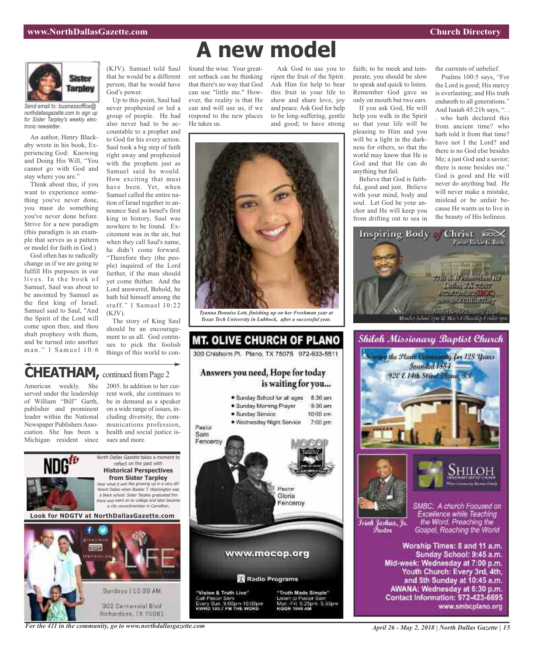

*Send email to: businessoffice@ northdallasgazette.com to sign up for Sister Tarpley's weekly electronic newsletter.*

An author, Henry Blackaby wrote in his book, Experiencing God: Knowing and Doing His Will, "You cannot go with God and stay where you are."

Think about this, if you want to experience something you've never done, you must do something you've never done before. Strive for a new paradigm (this paradigm is an example that serves as a pattern or model for faith in God.)

God often has to radically change us if we are going to fulfill His purposes in our lives. In the book of Samuel, Saul was about to be anointed by Samuel as the first king of Israel. Samuel said to Saul, "And the Spirit of the Lord will come upon thee, and thou shalt prophesy with them, and be turned into another man."  $1$  Samuel  $10:6$ 

(KJV). Samuel told Saul that he would be a different person, that he would have God's power.

Up to this point, Saul had never prophesied or led a group of people. He had also never had to be accountable to a prophet and to God for his every action. Saul took a big step of faith right away and prophesied with the prophets just as Samuel said he would. How exciting that must have been. Yet, when Samuel called the entire nation of Israel together to announce Saul as Israel's first king in history, Saul was nowhere to be found. Excitement was in the air, but when they call Saul's name, he didn't come forward. "Therefore they (the people) inquired of the Lord further, if the man should yet come thither. And the Lord answered, Behold, he hath hid himself among the stuff." 1 Samuel 10:22 (KJV).

The story of King Saul should be an encouragement to us all. God continues to pick the foolish things of this world to con-

# **A new model**

found the wise. Your greatest setback can be thinking that there's no way that God can use "little me." However, the reality is that He can and will use us, if we respond to the new places He takes us.

Ask God to use you to ripen the fruit of the Spirit. Ask Him for help to bear this fruit in your life to show and share love, joy and peace. Ask God for help to be long-suffering, gentle and good; to have strong



*Tyanna Donnise Lott, finishing up on her Freshman year at Texas Tech University in Lubbock, after a successful year.*

### **MT. OLIVE CHURCH OF PLANO** 300 Chishoim Pl. Plano, TX 75075 972-633-5511 Answers you need, Hope for today is waiting for you...

· Sunday School for all ages 8:30 am · Sunday Morning Prayer · Sunday Service . Wednesday Night Service Pastor Sam Fencercy Pastor Gloria Fenceroy

### www.mocop.org

Radio Programs

"Vision & Truth Live"<br>Call Pastor Sam<br>Every Sun, 9:00pm-10:00pm<br>KWRD 103.7 FM THE WORD "Vision & Truth Live"



 $9.30$  am

 $10:00$  am

7:00 pm

faith; to be meek and temperate, you should be slow to speak and quick to listen. Remember God gave us only on mouth but two ears. If you ask God, He will help you walk in the Spirit so that your life will be pleasing to Him and you will be a light in the darkness for others, so that the world may know that He is God and that He can do anything but fail. Believe that God is faith-

ful, good and just. Believe with your mind, body and soul. Let God be your anchor and He will keep you from drifting out to sea in

the currents of unbelief.

Psalms 100:5 says, "For the Lord is good; His mercy is everlasting; and His truth endureth to all generations." And Isaiah 45:21b says, ". .

. who hath declared this from ancient time? who hath told it from that time? have not I the Lord? and there is no God else besides Me; a just God and a savior; there is none besides me." God is good and He will never do anything bad. He will never make a mistake, mislead or be unfair because He wants us to live in the beauty of His holiness.





Worship Times: 8 and 11 a.m. Sunday School: 9:45 a.m. Mid-week: Wednesday at 7:00 p.m. Youth Church: Every 3rd, 4th, and 5th Sunday at 10:45 a.m. AWANA: Wednesday at 6:30 p.m. Contact Information: 972-423-6695 www.smbcplano.org

## **CHEATHAM, continued from Page 2**

American weekly. She served under the leadership of William "Bill" Garth, publisher and prominent leader within the National Newspaper Publishers Association. She has been a Michigan resident since

2005. In addition to her current work, she continues to be in demand as a speaker on a wide range of issues, including diversity, the communications profession, health and social justice issues and more.



302 Centennial Blvd Richardson, TX 75081

*For the 411 in the community, go to www.northdallasgazette.com*